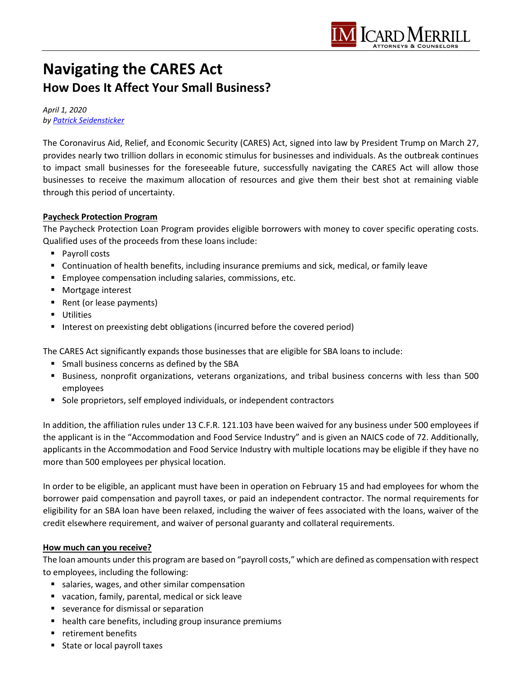

# **Navigating the CARES Act How Does It Affect Your Small Business?**

*April 1, 2020 b[y Patrick Seidensticker](https://icardmerrill.com/patrick-seidensticker/)*

The Coronavirus Aid, Relief, and Economic Security (CARES) Act, signed into law by President Trump on March 27, provides nearly two trillion dollars in economic stimulus for businesses and individuals. As the outbreak continues to impact small businesses for the foreseeable future, successfully navigating the CARES Act will allow those businesses to receive the maximum allocation of resources and give them their best shot at remaining viable through this period of uncertainty.

## **Paycheck Protection Program**

The Paycheck Protection Loan Program provides eligible borrowers with money to cover specific operating costs. Qualified uses of the proceeds from these loans include:

- **Payroll costs**
- Continuation of health benefits, including insurance premiums and sick, medical, or family leave
- **Employee compensation including salaries, commissions, etc.**
- **Mortgage interest**
- Rent (or lease payments)
- **Utilities**
- Interest on preexisting debt obligations (incurred before the covered period)

The CARES Act significantly expands those businesses that are eligible for SBA loans to include:

- **Small business concerns as defined by the SBA**
- Business, nonprofit organizations, veterans organizations, and tribal business concerns with less than 500 employees
- Sole proprietors, self employed individuals, or independent contractors

In addition, the affiliation rules under 13 C.F.R. 121.103 have been waived for any business under 500 employees if the applicant is in the "Accommodation and Food Service Industry" and is given an NAICS code of 72. Additionally, applicants in the Accommodation and Food Service Industry with multiple locations may be eligible if they have no more than 500 employees per physical location.

In order to be eligible, an applicant must have been in operation on February 15 and had employees for whom the borrower paid compensation and payroll taxes, or paid an independent contractor. The normal requirements for eligibility for an SBA loan have been relaxed, including the waiver of fees associated with the loans, waiver of the credit elsewhere requirement, and waiver of personal guaranty and collateral requirements.

#### **How much can you receive?**

The loan amounts under this program are based on "payroll costs," which are defined as compensation with respect to employees, including the following:

- salaries, wages, and other similar compensation
- vacation, family, parental, medical or sick leave
- **severance for dismissal or separation**
- **•** health care benefits, including group insurance premiums
- **retirement benefits**
- **State or local payroll taxes**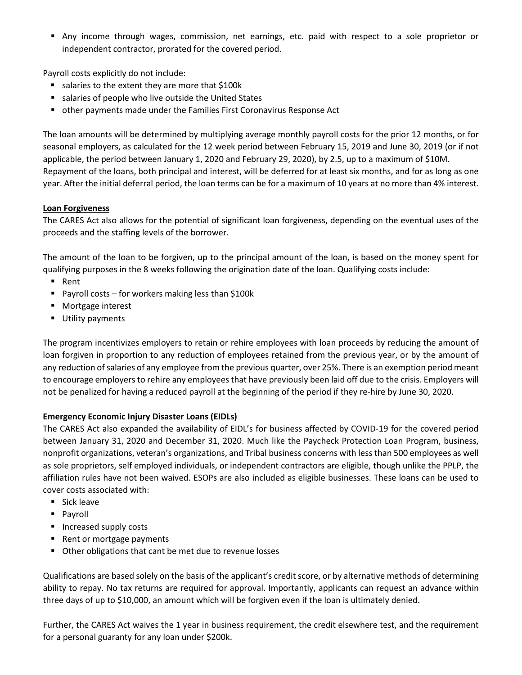Any income through wages, commission, net earnings, etc. paid with respect to a sole proprietor or independent contractor, prorated for the covered period.

Payroll costs explicitly do not include:

- salaries to the extent they are more that \$100k
- salaries of people who live outside the United States
- other payments made under the Families First Coronavirus Response Act

The loan amounts will be determined by multiplying average monthly payroll costs for the prior 12 months, or for seasonal employers, as calculated for the 12 week period between February 15, 2019 and June 30, 2019 (or if not applicable, the period between January 1, 2020 and February 29, 2020), by 2.5, up to a maximum of \$10M. Repayment of the loans, both principal and interest, will be deferred for at least six months, and for as long as one year. After the initial deferral period, the loan terms can be for a maximum of 10 years at no more than 4% interest.

## **Loan Forgiveness**

The CARES Act also allows for the potential of significant loan forgiveness, depending on the eventual uses of the proceeds and the staffing levels of the borrower.

The amount of the loan to be forgiven, up to the principal amount of the loan, is based on the money spent for qualifying purposes in the 8 weeks following the origination date of the loan. Qualifying costs include:

- Rent
- Payroll costs for workers making less than \$100k
- Mortgage interest
- **Utility payments**

The program incentivizes employers to retain or rehire employees with loan proceeds by reducing the amount of loan forgiven in proportion to any reduction of employees retained from the previous year, or by the amount of any reduction of salaries of any employee from the previous quarter, over 25%. There is an exemption period meant to encourage employers to rehire any employees that have previously been laid off due to the crisis. Employers will not be penalized for having a reduced payroll at the beginning of the period if they re-hire by June 30, 2020.

## **Emergency Economic Injury Disaster Loans (EIDLs)**

The CARES Act also expanded the availability of EIDL's for business affected by COVID-19 for the covered period between January 31, 2020 and December 31, 2020. Much like the Paycheck Protection Loan Program, business, nonprofit organizations, veteran's organizations, and Tribal business concerns with less than 500 employees as well as sole proprietors, self employed individuals, or independent contractors are eligible, though unlike the PPLP, the affiliation rules have not been waived. ESOPs are also included as eligible businesses. These loans can be used to cover costs associated with:

- $Sick$  leave
- **Payroll**
- **Increased supply costs**
- Rent or mortgage payments
- Other obligations that cant be met due to revenue losses

Qualifications are based solely on the basis of the applicant's credit score, or by alternative methods of determining ability to repay. No tax returns are required for approval. Importantly, applicants can request an advance within three days of up to \$10,000, an amount which will be forgiven even if the loan is ultimately denied.

Further, the CARES Act waives the 1 year in business requirement, the credit elsewhere test, and the requirement for a personal guaranty for any loan under \$200k.